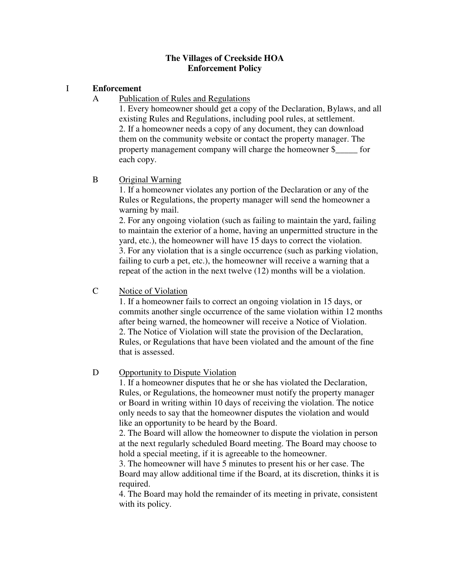#### **The Villages of Creekside HOA Enforcement Policy**

#### I **Enforcement**

A Publication of Rules and Regulations

1. Every homeowner should get a copy of the Declaration, Bylaws, and all existing Rules and Regulations, including pool rules, at settlement. 2. If a homeowner needs a copy of any document, they can download them on the community website or contact the property manager. The property management company will charge the homeowner \$\_\_\_\_\_ for each copy.

# B Original Warning

1. If a homeowner violates any portion of the Declaration or any of the Rules or Regulations, the property manager will send the homeowner a warning by mail.

2. For any ongoing violation (such as failing to maintain the yard, failing to maintain the exterior of a home, having an unpermitted structure in the yard, etc.), the homeowner will have 15 days to correct the violation. 3. For any violation that is a single occurrence (such as parking violation, failing to curb a pet, etc.), the homeowner will receive a warning that a repeat of the action in the next twelve (12) months will be a violation.

# C Notice of Violation

1. If a homeowner fails to correct an ongoing violation in 15 days, or commits another single occurrence of the same violation within 12 months after being warned, the homeowner will receive a Notice of Violation. 2. The Notice of Violation will state the provision of the Declaration, Rules, or Regulations that have been violated and the amount of the fine that is assessed.

# D Opportunity to Dispute Violation

1. If a homeowner disputes that he or she has violated the Declaration, Rules, or Regulations, the homeowner must notify the property manager or Board in writing within 10 days of receiving the violation. The notice only needs to say that the homeowner disputes the violation and would like an opportunity to be heard by the Board.

2. The Board will allow the homeowner to dispute the violation in person at the next regularly scheduled Board meeting. The Board may choose to hold a special meeting, if it is agreeable to the homeowner.

3. The homeowner will have 5 minutes to present his or her case. The Board may allow additional time if the Board, at its discretion, thinks it is required.

4. The Board may hold the remainder of its meeting in private, consistent with its policy.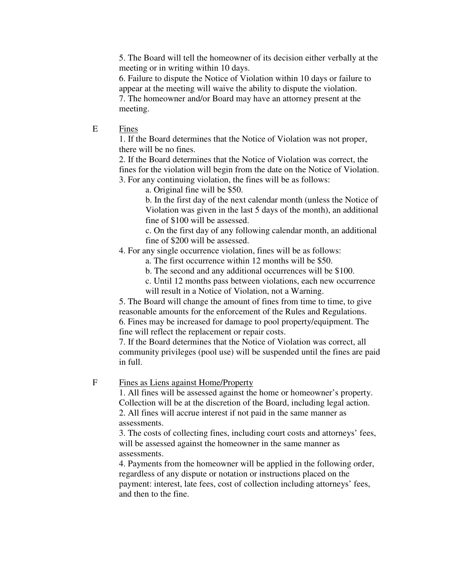5. The Board will tell the homeowner of its decision either verbally at the meeting or in writing within 10 days.

6. Failure to dispute the Notice of Violation within 10 days or failure to appear at the meeting will waive the ability to dispute the violation. 7. The homeowner and/or Board may have an attorney present at the meeting.

E Fines

1. If the Board determines that the Notice of Violation was not proper, there will be no fines.

2. If the Board determines that the Notice of Violation was correct, the fines for the violation will begin from the date on the Notice of Violation. 3. For any continuing violation, the fines will be as follows:

a. Original fine will be \$50.

b. In the first day of the next calendar month (unless the Notice of Violation was given in the last 5 days of the month), an additional fine of \$100 will be assessed.

c. On the first day of any following calendar month, an additional fine of \$200 will be assessed.

4. For any single occurrence violation, fines will be as follows:

a. The first occurrence within 12 months will be \$50.

b. The second and any additional occurrences will be \$100.

c. Until 12 months pass between violations, each new occurrence

will result in a Notice of Violation, not a Warning.

5. The Board will change the amount of fines from time to time, to give reasonable amounts for the enforcement of the Rules and Regulations. 6. Fines may be increased for damage to pool property/equipment. The fine will reflect the replacement or repair costs.

7. If the Board determines that the Notice of Violation was correct, all community privileges (pool use) will be suspended until the fines are paid in full.

F Fines as Liens against Home/Property

1. All fines will be assessed against the home or homeowner's property. Collection will be at the discretion of the Board, including legal action. 2. All fines will accrue interest if not paid in the same manner as assessments.

3. The costs of collecting fines, including court costs and attorneys' fees, will be assessed against the homeowner in the same manner as assessments.

4. Payments from the homeowner will be applied in the following order, regardless of any dispute or notation or instructions placed on the payment: interest, late fees, cost of collection including attorneys' fees, and then to the fine.